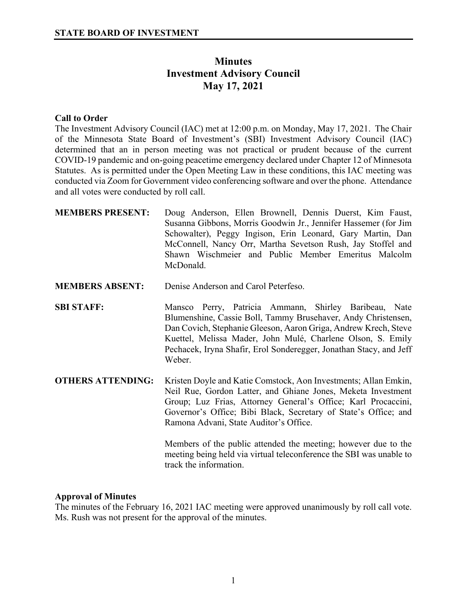# **Minutes Investment Advisory Council May 17, 2021**

## **Call to Order**

The Investment Advisory Council (IAC) met at 12:00 p.m. on Monday, May 17, 2021. The Chair of the Minnesota State Board of Investment's (SBI) Investment Advisory Council (IAC) determined that an in person meeting was not practical or prudent because of the current COVID-19 pandemic and on-going peacetime emergency declared under Chapter 12 of Minnesota Statutes. As is permitted under the Open Meeting Law in these conditions, this IAC meeting was conducted via Zoom for Government video conferencing software and over the phone. Attendance and all votes were conducted by roll call.

| <b>MEMBERS PRESENT:</b>  | Doug Anderson, Ellen Brownell, Dennis Duerst, Kim Faust,<br>Susanna Gibbons, Morris Goodwin Jr., Jennifer Hassemer (for Jim<br>Schowalter), Peggy Ingison, Erin Leonard, Gary Martin, Dan<br>McConnell, Nancy Orr, Martha Sevetson Rush, Jay Stoffel and<br>Shawn Wischmeier and Public Member Emeritus Malcolm<br>McDonald.             |
|--------------------------|------------------------------------------------------------------------------------------------------------------------------------------------------------------------------------------------------------------------------------------------------------------------------------------------------------------------------------------|
| <b>MEMBERS ABSENT:</b>   | Denise Anderson and Carol Peterfeso.                                                                                                                                                                                                                                                                                                     |
| <b>SBI STAFF:</b>        | Mansco Perry, Patricia Ammann, Shirley Baribeau, Nate<br>Blumenshine, Cassie Boll, Tammy Brusehaver, Andy Christensen,<br>Dan Covich, Stephanie Gleeson, Aaron Griga, Andrew Krech, Steve<br>Kuettel, Melissa Mader, John Mulé, Charlene Olson, S. Emily<br>Pechacek, Iryna Shafir, Erol Sonderegger, Jonathan Stacy, and Jeff<br>Weber. |
| <b>OTHERS ATTENDING:</b> | Kristen Doyle and Katie Comstock, Aon Investments; Allan Emkin,<br>Neil Rue, Gordon Latter, and Ghiane Jones, Meketa Investment<br>Group; Luz Frias, Attorney General's Office; Karl Procaccini,<br>Governor's Office; Bibi Black, Secretary of State's Office; and<br>Ramona Advani, State Auditor's Office.                            |
|                          | Members of the public attended the meeting; however due to the<br>meeting being held via virtual teleconference the SBI was unable to<br>track the information.                                                                                                                                                                          |

### **Approval of Minutes**

The minutes of the February 16, 2021 IAC meeting were approved unanimously by roll call vote. Ms. Rush was not present for the approval of the minutes.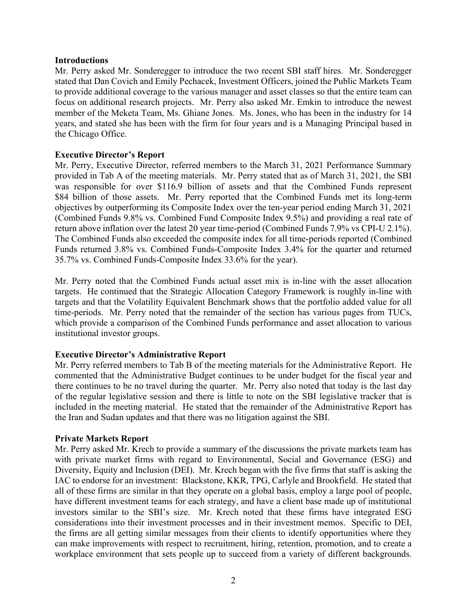### **Introductions**

Mr. Perry asked Mr. Sonderegger to introduce the two recent SBI staff hires. Mr. Sonderegger stated that Dan Covich and Emily Pechacek, Investment Officers, joined the Public Markets Team to provide additional coverage to the various manager and asset classes so that the entire team can focus on additional research projects. Mr. Perry also asked Mr. Emkin to introduce the newest member of the Meketa Team, Ms. Ghiane Jones. Ms. Jones, who has been in the industry for 14 years, and stated she has been with the firm for four years and is a Managing Principal based in the Chicago Office.

### **Executive Director's Report**

Mr. Perry, Executive Director, referred members to the March 31, 2021 Performance Summary provided in Tab A of the meeting materials. Mr. Perry stated that as of March 31, 2021, the SBI was responsible for over \$116.9 billion of assets and that the Combined Funds represent \$84 billion of those assets. Mr. Perry reported that the Combined Funds met its long-term objectives by outperforming its Composite Index over the ten-year period ending March 31, 2021 (Combined Funds 9.8% vs. Combined Fund Composite Index 9.5%) and providing a real rate of return above inflation over the latest 20 year time-period (Combined Funds 7.9% vs CPI-U 2.1%). The Combined Funds also exceeded the composite index for all time-periods reported (Combined Funds returned 3.8% vs. Combined Funds-Composite Index 3.4% for the quarter and returned 35.7% vs. Combined Funds-Composite Index 33.6% for the year).

Mr. Perry noted that the Combined Funds actual asset mix is in-line with the asset allocation targets. He continued that the Strategic Allocation Category Framework is roughly in-line with targets and that the Volatility Equivalent Benchmark shows that the portfolio added value for all time-periods. Mr. Perry noted that the remainder of the section has various pages from TUCs, which provide a comparison of the Combined Funds performance and asset allocation to various institutional investor groups.

# **Executive Director's Administrative Report**

Mr. Perry referred members to Tab B of the meeting materials for the Administrative Report. He commented that the Administrative Budget continues to be under budget for the fiscal year and there continues to be no travel during the quarter. Mr. Perry also noted that today is the last day of the regular legislative session and there is little to note on the SBI legislative tracker that is included in the meeting material. He stated that the remainder of the Administrative Report has the Iran and Sudan updates and that there was no litigation against the SBI.

### **Private Markets Report**

Mr. Perry asked Mr. Krech to provide a summary of the discussions the private markets team has with private market firms with regard to Environmental, Social and Governance (ESG) and Diversity, Equity and Inclusion (DEI). Mr. Krech began with the five firms that staff is asking the IAC to endorse for an investment: Blackstone, KKR, TPG, Carlyle and Brookfield. He stated that all of these firms are similar in that they operate on a global basis, employ a large pool of people, have different investment teams for each strategy, and have a client base made up of institutional investors similar to the SBI's size. Mr. Krech noted that these firms have integrated ESG considerations into their investment processes and in their investment memos. Specific to DEI, the firms are all getting similar messages from their clients to identify opportunities where they can make improvements with respect to recruitment, hiring, retention, promotion, and to create a workplace environment that sets people up to succeed from a variety of different backgrounds.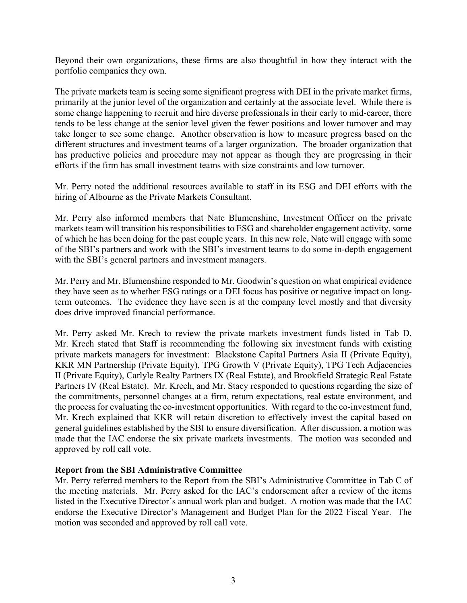Beyond their own organizations, these firms are also thoughtful in how they interact with the portfolio companies they own.

The private markets team is seeing some significant progress with DEI in the private market firms, primarily at the junior level of the organization and certainly at the associate level. While there is some change happening to recruit and hire diverse professionals in their early to mid-career, there tends to be less change at the senior level given the fewer positions and lower turnover and may take longer to see some change. Another observation is how to measure progress based on the different structures and investment teams of a larger organization. The broader organization that has productive policies and procedure may not appear as though they are progressing in their efforts if the firm has small investment teams with size constraints and low turnover.

Mr. Perry noted the additional resources available to staff in its ESG and DEI efforts with the hiring of Albourne as the Private Markets Consultant.

Mr. Perry also informed members that Nate Blumenshine, Investment Officer on the private markets team will transition his responsibilities to ESG and shareholder engagement activity, some of which he has been doing for the past couple years. In this new role, Nate will engage with some of the SBI's partners and work with the SBI's investment teams to do some in-depth engagement with the SBI's general partners and investment managers.

Mr. Perry and Mr. Blumenshine responded to Mr. Goodwin's question on what empirical evidence they have seen as to whether ESG ratings or a DEI focus has positive or negative impact on longterm outcomes. The evidence they have seen is at the company level mostly and that diversity does drive improved financial performance.

Mr. Perry asked Mr. Krech to review the private markets investment funds listed in Tab D. Mr. Krech stated that Staff is recommending the following six investment funds with existing private markets managers for investment: Blackstone Capital Partners Asia II (Private Equity), KKR MN Partnership (Private Equity), TPG Growth V (Private Equity), TPG Tech Adjacencies II (Private Equity), Carlyle Realty Partners IX (Real Estate), and Brookfield Strategic Real Estate Partners IV (Real Estate). Mr. Krech, and Mr. Stacy responded to questions regarding the size of the commitments, personnel changes at a firm, return expectations, real estate environment, and the process for evaluating the co-investment opportunities. With regard to the co-investment fund, Mr. Krech explained that KKR will retain discretion to effectively invest the capital based on general guidelines established by the SBI to ensure diversification.After discussion, a motion was made that the IAC endorse the six private markets investments. The motion was seconded and approved by roll call vote.

### **Report from the SBI Administrative Committee**

Mr. Perry referred members to the Report from the SBI's Administrative Committee in Tab C of the meeting materials. Mr. Perry asked for the IAC's endorsement after a review of the items listed in the Executive Director's annual work plan and budget. A motion was made that the IAC endorse the Executive Director's Management and Budget Plan for the 2022 Fiscal Year. The motion was seconded and approved by roll call vote.